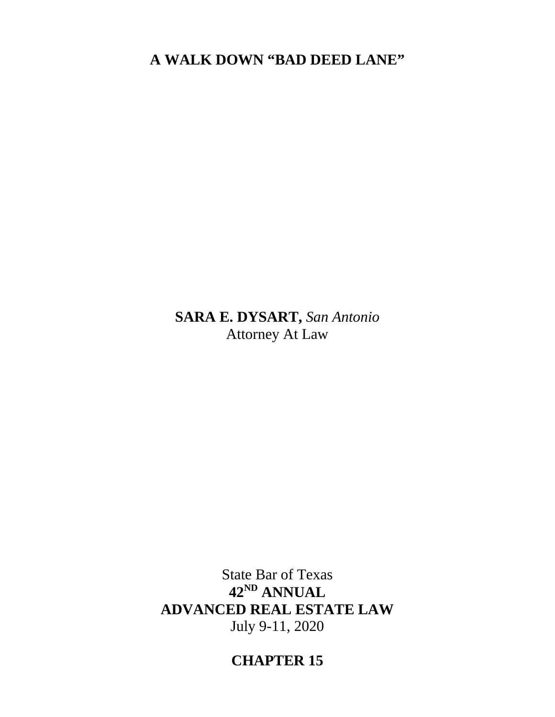**A WALK DOWN "BAD DEED LANE"**

**SARA E. DYSART,** *San Antonio* Attorney At Law

State Bar of Texas **42ND ANNUAL ADVANCED REAL ESTATE LAW** July 9-11, 2020

**CHAPTER 15**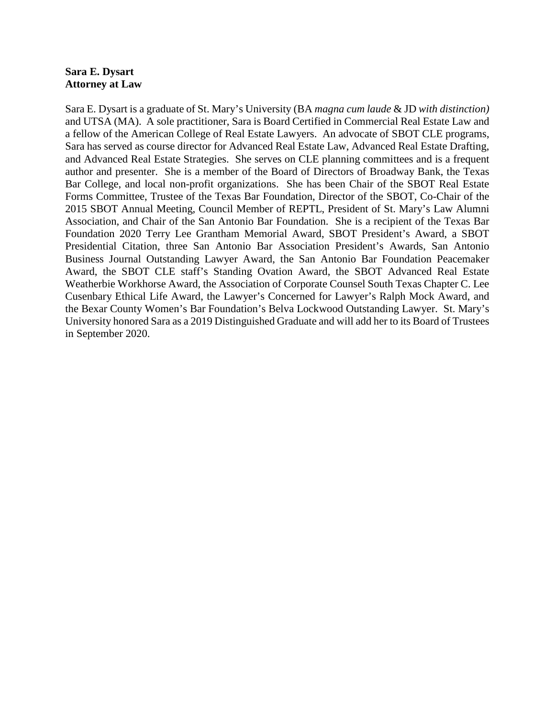# **Sara E. Dysart Attorney at Law**

Sara E. Dysart is a graduate of St. Mary's University (BA *magna cum laude* & JD *with distinction)*  and UTSA (MA). A sole practitioner, Sara is Board Certified in Commercial Real Estate Law and a fellow of the American College of Real Estate Lawyers. An advocate of SBOT CLE programs, Sara has served as course director for Advanced Real Estate Law, Advanced Real Estate Drafting, and Advanced Real Estate Strategies. She serves on CLE planning committees and is a frequent author and presenter. She is a member of the Board of Directors of Broadway Bank, the Texas Bar College, and local non-profit organizations. She has been Chair of the SBOT Real Estate Forms Committee, Trustee of the Texas Bar Foundation, Director of the SBOT, Co-Chair of the 2015 SBOT Annual Meeting, Council Member of REPTL, President of St. Mary's Law Alumni Association, and Chair of the San Antonio Bar Foundation. She is a recipient of the Texas Bar Foundation 2020 Terry Lee Grantham Memorial Award, SBOT President's Award, a SBOT Presidential Citation, three San Antonio Bar Association President's Awards, San Antonio Business Journal Outstanding Lawyer Award, the San Antonio Bar Foundation Peacemaker Award, the SBOT CLE staff's Standing Ovation Award, the SBOT Advanced Real Estate Weatherbie Workhorse Award, the Association of Corporate Counsel South Texas Chapter C. Lee Cusenbary Ethical Life Award, the Lawyer's Concerned for Lawyer's Ralph Mock Award, and the Bexar County Women's Bar Foundation's Belva Lockwood Outstanding Lawyer. St. Mary's University honored Sara as a 2019 Distinguished Graduate and will add her to its Board of Trustees in September 2020.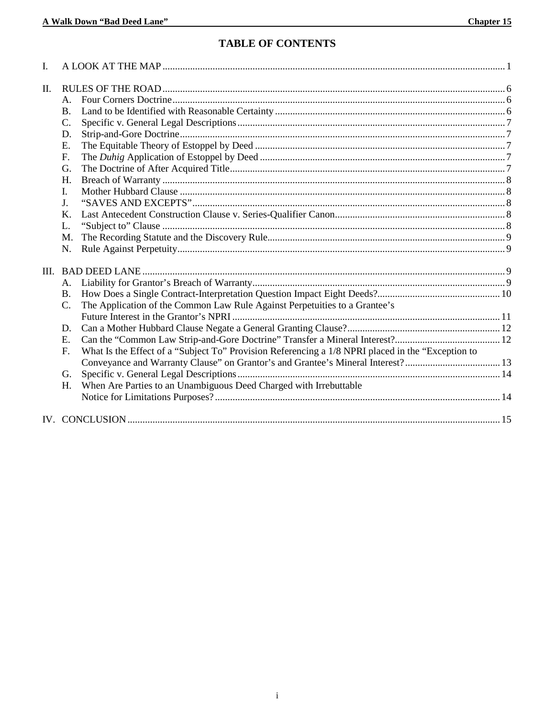# **TABLE OF CONTENTS**

| I. |                |                                                                                                   |  |
|----|----------------|---------------------------------------------------------------------------------------------------|--|
| Π. |                |                                                                                                   |  |
|    | $\mathsf{A}$ . |                                                                                                   |  |
|    | <b>B.</b>      |                                                                                                   |  |
|    | C.             |                                                                                                   |  |
|    | D.             |                                                                                                   |  |
|    | E.             |                                                                                                   |  |
|    | F.             |                                                                                                   |  |
|    | G.             |                                                                                                   |  |
|    | H.             |                                                                                                   |  |
|    | I.             |                                                                                                   |  |
|    | $\mathbf{I}$   |                                                                                                   |  |
|    | Κ.             |                                                                                                   |  |
|    | L.             |                                                                                                   |  |
|    | M.             |                                                                                                   |  |
|    | N.             |                                                                                                   |  |
|    |                |                                                                                                   |  |
|    | A.             |                                                                                                   |  |
|    | <b>B.</b>      |                                                                                                   |  |
|    | C.             | The Application of the Common Law Rule Against Perpetuities to a Grantee's                        |  |
|    |                |                                                                                                   |  |
|    | D.             |                                                                                                   |  |
|    | E.             |                                                                                                   |  |
|    | F.             | What Is the Effect of a "Subject To" Provision Referencing a 1/8 NPRI placed in the "Exception to |  |
|    |                |                                                                                                   |  |
|    | G.             |                                                                                                   |  |
|    | H.             | When Are Parties to an Unambiguous Deed Charged with Irrebuttable                                 |  |
|    |                |                                                                                                   |  |
|    |                |                                                                                                   |  |
|    |                |                                                                                                   |  |
|    |                |                                                                                                   |  |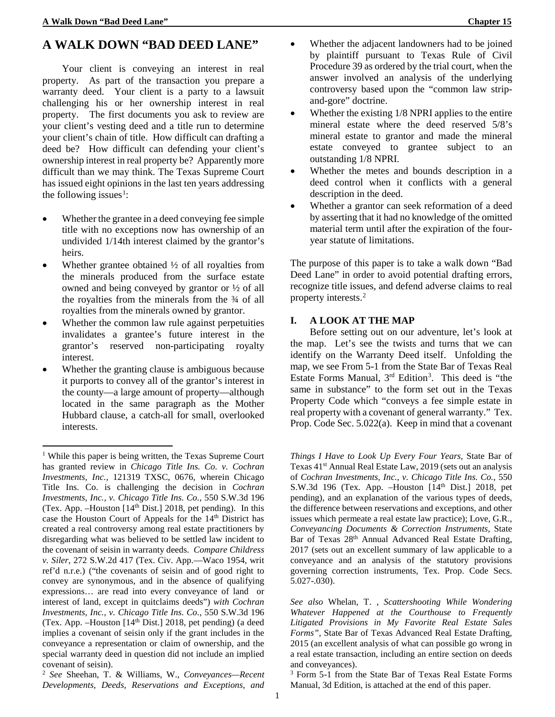Your client is conveying an interest in real property. As part of the transaction you prepare a warranty deed. Your client is a party to a lawsuit challenging his or her ownership interest in real property. The first documents you ask to review are your client's vesting deed and a title run to determine your client's chain of title. How difficult can drafting a deed be? How difficult can defending your client's ownership interest in real property be? Apparently more difficult than we may think. The Texas Supreme Court has issued eight opinions in the last ten years addressing the following issues<sup>[1](#page-6-0)</sup>:

- Whether the grantee in a deed conveying fee simple title with no exceptions now has ownership of an undivided 1/14th interest claimed by the grantor's heirs.
- Whether grantee obtained  $\frac{1}{2}$  of all royalties from the minerals produced from the surface estate owned and being conveyed by grantor or ½ of all the royalties from the minerals from the ¾ of all royalties from the minerals owned by grantor.
- Whether the common law rule against perpetuities invalidates a grantee's future interest in the grantor's reserved non-participating royalty interest.
- Whether the granting clause is ambiguous because it purports to convey all of the grantor's interest in the county—a large amount of property—although located in the same paragraph as the Mother Hubbard clause, a catch-all for small, overlooked interests.

<u>.</u>

- Whether the adjacent landowners had to be joined by plaintiff pursuant to Texas Rule of Civil Procedure 39 as ordered by the trial court, when the answer involved an analysis of the underlying controversy based upon the "common law stripand-gore" doctrine.
- Whether the existing 1/8 NPRI applies to the entire mineral estate where the deed reserved 5/8's mineral estate to grantor and made the mineral estate conveyed to grantee subject to an outstanding 1/8 NPRI.
- Whether the metes and bounds description in a deed control when it conflicts with a general description in the deed.
- Whether a grantor can seek reformation of a deed by asserting that it had no knowledge of the omitted material term until after the expiration of the fouryear statute of limitations.

The purpose of this paper is to take a walk down "Bad Deed Lane" in order to avoid potential drafting errors, recognize title issues, and defend adverse claims to real property interests.[2](#page-6-1)

# **I. A LOOK AT THE MAP**

Before setting out on our adventure, let's look at the map. Let's see the twists and turns that we can identify on the Warranty Deed itself. Unfolding the map, we see From 5-1 from the State Bar of Texas Real Estate Forms Manual,  $3<sup>rd</sup>$  Edition<sup>3</sup>. This deed is "the same in substance" to the form set out in the Texas Property Code which "conveys a fee simple estate in real property with a covenant of general warranty." Tex. Prop. Code Sec. 5.022(a). Keep in mind that a covenant

*Things I Have to Look Up Every Four Years,* State Bar of Texas 41<sup>st</sup> Annual Real Estate Law, 2019 (sets out an analysis of *Cochran Investments, Inc., v. Chicago Title Ins. Co.,* 550 S.W.3d 196 (Tex. App.  $-$ Houston [14<sup>th</sup> Dist.] 2018, pet pending), and an explanation of the various types of deeds, the difference between reservations and exceptions, and other issues which permeate a real estate law practice); Love, G.R., *Conveyancing Documents & Correction Instruments,* State Bar of Texas 28<sup>th</sup> Annual Advanced Real Estate Drafting, 2017 (sets out an excellent summary of law applicable to a conveyance and an analysis of the statutory provisions governing correction instruments, Tex. Prop. Code Secs. 5.027-.030).

*See also* Whelan, T. , *Scattershooting While Wondering Whatever Happened at the Courthouse to Frequently Litigated Provisions in My Favorite Real Estate Sales Forms",* State Bar of Texas Advanced Real Estate Drafting, 2015 (an excellent analysis of what can possible go wrong in a real estate transaction, including an entire section on deeds and conveyances).

<sup>3</sup> Form 5-1 from the State Bar of Texas Real Estate Forms Manual, 3d Edition, is attached at the end of this paper.

<span id="page-6-0"></span><sup>1</sup> While this paper is being written, the Texas Supreme Court has granted review in *Chicago Title Ins. Co. v. Cochran Investments, Inc.,* 121319 TXSC, 0676, wherein Chicago Title Ins. Co. is challenging the decision in *Cochran Investments, Inc., v. Chicago Title Ins. Co.,* 550 S.W.3d 196 (Tex. App.  $-$ Houston [14<sup>th</sup> Dist.] 2018, pet pending). In this case the Houston Court of Appeals for the 14<sup>th</sup> District has created a real controversy among real estate practitioners by disregarding what was believed to be settled law incident to the covenant of seisin in warranty deeds. *Compare Childress v. Siler,* 272 S.W.2d 417 (Tex. Civ. App.—Waco 1954, writ ref'd n.r.e.) ("the covenants of seisin and of good right to convey are synonymous, and in the absence of qualifying expressions… are read into every conveyance of land or interest of land, except in quitclaims deeds") *with Cochran Investments, Inc., v. Chicago Title Ins. Co.,* 550 S.W.3d 196 (Tex. App. –Houston [14th Dist.] 2018, pet pending) (a deed implies a covenant of seisin only if the grant includes in the conveyance a representation or claim of ownership, and the special warranty deed in question did not include an implied covenant of seisin).

<span id="page-6-1"></span><sup>2</sup> *See* Sheehan, T. & Williams, W., *Conveyances—Recent Developments, Deeds, Reservations and Exceptions, and*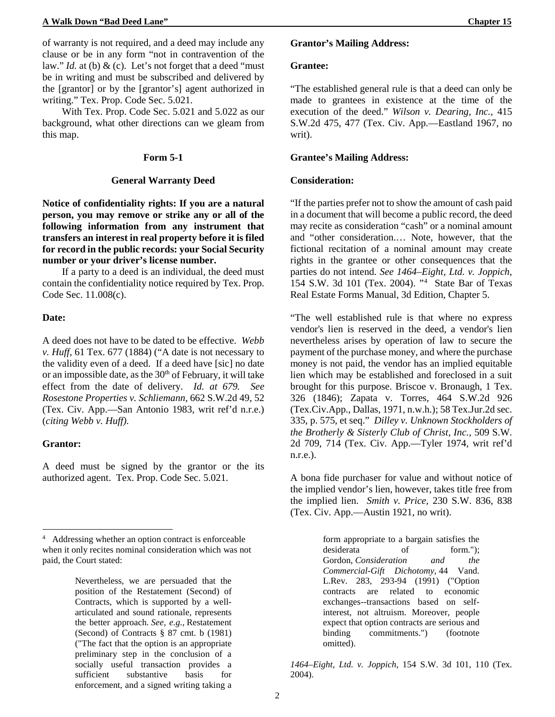of warranty is not required, and a deed may include any clause or be in any form "not in contravention of the law." *Id.* at (b) & (c). Let's not forget that a deed "must be in writing and must be subscribed and delivered by the [grantor] or by the [grantor's] agent authorized in writing." Tex. Prop. Code Sec. 5.021.

With Tex. Prop. Code Sec. 5.021 and 5.022 as our background, what other directions can we gleam from this map.

#### **Form 5-1**

#### **General Warranty Deed**

**Notice of confidentiality rights: If you are a natural person, you may remove or strike any or all of the following information from any instrument that transfers an interest in real property before it is filed for record in the public records: your Social Security number or your driver's license number.**

If a party to a deed is an individual, the deed must contain the confidentiality notice required by Tex. Prop. Code Sec. 11.008(c).

#### **Date:**

A deed does not have to be dated to be effective. *Webb v. Huff,* 61 Tex. 677 (1884) ("A date is not necessary to the validity even of a deed. If a deed have [sic] no date or an impossible date, as the  $30<sup>th</sup>$  of February, it will take effect from the date of delivery. *Id. at 679. See Rosestone Properties v. Schliemann,* 662 S.W.2d 49, 52 (Tex. Civ. App.—San Antonio 1983, writ ref'd n.r.e.) (*citing Webb v. Huff).*

#### **Grantor:**

 $\overline{a}$ 

A deed must be signed by the grantor or the its authorized agent. Tex. Prop. Code Sec. 5.021.

#### **Grantor's Mailing Address:**

### **Grantee:**

"The established general rule is that a deed can only be made to grantees in existence at the time of the execution of the deed." *Wilson v. Dearing, Inc.,* 415 S.W.2d 475, 477 (Tex. Civ. App.—Eastland 1967, no writ).

### **Grantee's Mailing Address:**

### **Consideration:**

"If the parties prefer not to show the amount of cash paid in a document that will become a public record, the deed may recite as consideration "cash" or a nominal amount and "other consideration.… Note, however, that the fictional recitation of a nominal amount may create rights in the grantee or other consequences that the parties do not intend. *See 1464–Eight, Ltd. v. Joppich*, 154 S.W. 3d 101 (Tex. 2004). "[4](#page-7-0) State Bar of Texas Real Estate Forms Manual, 3d Edition, Chapter 5.

"The well established rule is that where no express vendor's lien is reserved in the deed, a vendor's lien nevertheless arises by operation of law to secure the payment of the purchase money, and where the purchase money is not paid, the vendor has an implied equitable lien which may be established and foreclosed in a suit brought for this purpose. Briscoe v. Bronaugh, 1 Tex. 326 (1846); Zapata v. Torres, 464 S.W.2d 926 (Tex.Civ.App., Dallas, 1971, n.w.h.); 58 Tex.Jur.2d sec. 335, p. 575, et seq." *Dilley v. Unknown Stockholders of the Brotherly & Sisterly Club of Christ, Inc.,* 509 S.W. 2d 709, 714 (Tex. Civ. App.—Tyler 1974, writ ref'd n.r.e.).

A bona fide purchaser for value and without notice of the implied vendor's lien, however, takes title free from the implied lien. *Smith v. Price,* 230 S.W. 836, 838 (Tex. Civ. App.—Austin 1921, no writ).

> form appropriate to a bargain satisfies the desiderata of form."): Gordon, *Consideration and the Commercial-Gift Dichotomy,* 44 Vand. L.Rev. 283, 293-94 (1991) ("Option contracts are related to economic exchanges--transactions based on selfinterest, not altruism. Moreover, people expect that option contracts are serious and binding commitments.") (footnote omitted).

*1464–Eight, Ltd. v. Joppich*, 154 S.W. 3d 101, 110 (Tex. 2004).

<span id="page-7-0"></span><sup>4</sup> Addressing whether an option contract is enforceable when it only recites nominal consideration which was not paid, the Court stated:

Nevertheless, we are persuaded that the position of the Restatement (Second) of Contracts, which is supported by a wellarticulated and sound rationale, represents the better approach. *See, e.g.,* Restatement (Second) of Contracts § 87 cmt. b (1981) ("The fact that the option is an appropriate preliminary step in the conclusion of a socially useful transaction provides a sufficient substantive basis for enforcement, and a signed writing taking a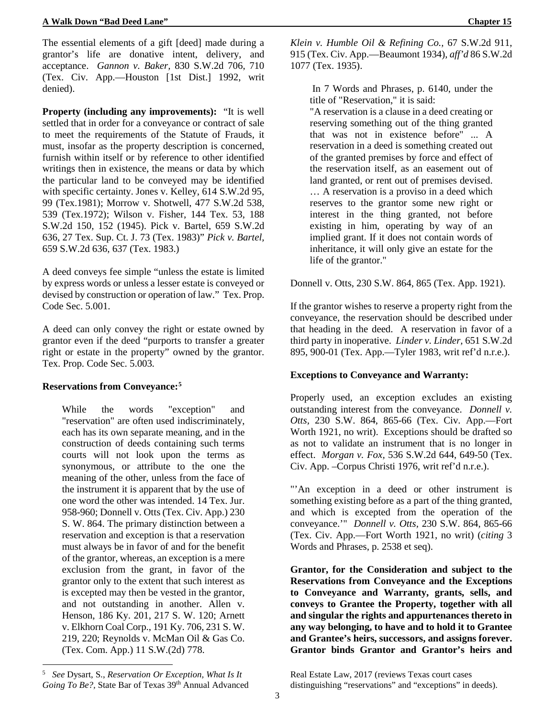The essential elements of a gift [deed] made during a grantor's life are donative intent, delivery, and acceptance. *Gannon v. Baker,* 830 S.W.2d 706, 710 (Tex. Civ. App.—Houston [1st Dist.] 1992, writ denied).

**Property (including any improvements):** "It is well settled that in order for a conveyance or contract of sale to meet the requirements of the Statute of Frauds, it must, insofar as the property description is concerned, furnish within itself or by reference to other identified writings then in existence, the means or data by which the particular land to be conveyed may be identified with specific certainty. Jones v. Kelley, 614 S.W.2d 95, 99 (Tex.1981); Morrow v. Shotwell, 477 S.W.2d 538, 539 (Tex.1972); Wilson v. Fisher, 144 Tex. 53, 188 S.W.2d 150, 152 (1945). Pick v. Bartel, 659 S.W.2d 636, 27 Tex. Sup. Ct. J. 73 (Tex. 1983)" *Pick v. Bartel,*  659 S.W.2d 636, 637 (Tex. 1983.)

A deed conveys fee simple "unless the estate is limited by express words or unless a lesser estate is conveyed or devised by construction or operation of law." Tex. Prop. Code Sec. 5.001.

A deed can only convey the right or estate owned by grantor even if the deed "purports to transfer a greater right or estate in the property" owned by the grantor. Tex. Prop. Code Sec. 5.003.

# **Reservations from Conveyance:[5](#page-8-0)**

While the words "exception" and "reservation" are often used indiscriminately, each has its own separate meaning, and in the construction of deeds containing such terms courts will not look upon the terms as synonymous, or attribute to the one the meaning of the other, unless from the face of the instrument it is apparent that by the use of one word the other was intended. 14 Tex. Jur. 958-960; Donnell v. Otts (Tex. Civ. App.) 230 S. W. 864. The primary distinction between a reservation and exception is that a reservation must always be in favor of and for the benefit of the grantor, whereas, an exception is a mere exclusion from the grant, in favor of the grantor only to the extent that such interest as is excepted may then be vested in the grantor, and not outstanding in another. Allen v. Henson, 186 Ky. 201, 217 S. W. 120; Arnett v. Elkhorn Coal Corp., 191 Ky. 706, 231 S. W. 219, 220; Reynolds v. McMan Oil & Gas Co. (Tex. Com. App.) 11 S.W.(2d) 778.

*Klein v. Humble Oil & Refining Co.,* 67 S.W.2d 911, 915 (Tex. Civ. App.—Beaumont 1934), *aff'd* 86 S.W.2d 1077 (Tex. 1935).

In 7 Words and Phrases, p. 6140, under the title of "Reservation," it is said:

"A reservation is a clause in a deed creating or reserving something out of the thing granted that was not in existence before" ... A reservation in a deed is something created out of the granted premises by force and effect of the reservation itself, as an easement out of land granted, or rent out of premises devised. … A reservation is a proviso in a deed which reserves to the grantor some new right or interest in the thing granted, not before existing in him, operating by way of an implied grant. If it does not contain words of inheritance, it will only give an estate for the life of the grantor."

Donnell v. Otts, 230 S.W. 864, 865 (Tex. App. 1921).

If the grantor wishes to reserve a property right from the conveyance, the reservation should be described under that heading in the deed. A reservation in favor of a third party in inoperative. *Linder v. Linder,* 651 S.W.2d 895, 900-01 (Tex. App.—Tyler 1983, writ ref'd n.r.e.).

# **Exceptions to Conveyance and Warranty:**

Properly used, an exception excludes an existing outstanding interest from the conveyance. *Donnell v. Otts,* 230 S.W. 864, 865-66 (Tex. Civ. App.—Fort Worth 1921, no writ). Exceptions should be drafted so as not to validate an instrument that is no longer in effect. *Morgan v. Fox,* 536 S.W.2d 644, 649-50 (Tex. Civ. App. –Corpus Christi 1976, writ ref'd n.r.e.).

"'An exception in a deed or other instrument is something existing before as a part of the thing granted, and which is excepted from the operation of the conveyance.'" *Donnell v. Otts,* 230 S.W. 864, 865-66 (Tex. Civ. App.—Fort Worth 1921, no writ) (*citing* 3 Words and Phrases, p. 2538 et seq).

**Grantor, for the Consideration and subject to the Reservations from Conveyance and the Exceptions to Conveyance and Warranty, grants, sells, and conveys to Grantee the Property, together with all and singular the rights and appurtenances thereto in any way belonging, to have and to hold it to Grantee and Grantee's heirs, successors, and assigns forever. Grantor binds Grantor and Grantor's heirs and** 

 $\overline{a}$ 

Real Estate Law, 2017 (reviews Texas court cases distinguishing "reservations" and "exceptions" in deeds).

<span id="page-8-0"></span><sup>5</sup> *See* Dysart, S., *Reservation Or Exception, What Is It*  Going To Be?, State Bar of Texas 39<sup>th</sup> Annual Advanced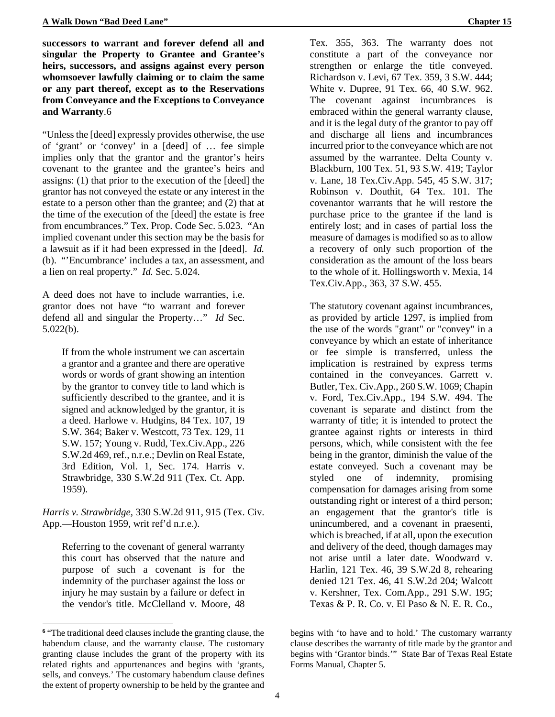**successors to warrant and forever defend all and singular the Property to Grantee and Grantee's heirs, successors, and assigns against every person whomsoever lawfully claiming or to claim the same or any part thereof, except as to the Reservations from Conveyance and the Exceptions to Conveyance and Warranty**.[6](#page-9-0)

"Unless the [deed] expressly provides otherwise, the use of 'grant' or 'convey' in a [deed] of … fee simple implies only that the grantor and the grantor's heirs covenant to the grantee and the grantee's heirs and assigns: (1) that prior to the execution of the [deed] the grantor has not conveyed the estate or any interest in the estate to a person other than the grantee; and (2) that at the time of the execution of the [deed] the estate is free from encumbrances." Tex. Prop. Code Sec. 5.023. "An implied covenant under this section may be the basis for a lawsuit as if it had been expressed in the [deed]. *Id.*  (b). "'Encumbrance' includes a tax, an assessment, and a lien on real property." *Id.* Sec. 5.024.

A deed does not have to include warranties, i.e. grantor does not have "to warrant and forever defend all and singular the Property…" *Id* Sec. 5.022(b).

If from the whole instrument we can ascertain a grantor and a grantee and there are operative words or words of grant showing an intention by the grantor to convey title to land which is sufficiently described to the grantee, and it is signed and acknowledged by the grantor, it is a deed. Harlowe v. Hudgins, 84 Tex. 107, 19 S.W. 364; Baker v. Westcott, 73 Tex. 129, 11 S.W. 157; Young v. Rudd, Tex.Civ.App., 226 S.W.2d 469, ref., n.r.e.; Devlin on Real Estate, 3rd Edition, Vol. 1, Sec. 174. Harris v. Strawbridge, 330 S.W.2d 911 (Tex. Ct. App. 1959).

*Harris v. Strawbridge,* 330 S.W.2d 911, 915 (Tex. Civ. App.—Houston 1959, writ ref'd n.r.e.).

Referring to the covenant of general warranty this court has observed that the nature and purpose of such a covenant is for the indemnity of the purchaser against the loss or injury he may sustain by a failure or defect in the vendor's title. McClelland v. Moore, 48

 $\overline{a}$ 

Tex. 355, 363. The warranty does not constitute a part of the conveyance nor strengthen or enlarge the title conveyed. Richardson v. Levi, 67 Tex. 359, 3 S.W. 444; White v. Dupree, 91 Tex. 66, 40 S.W. 962. The covenant against incumbrances is embraced within the general warranty clause, and it is the legal duty of the grantor to pay off and discharge all liens and incumbrances incurred prior to the conveyance which are not assumed by the warrantee. Delta County v. Blackburn, 100 Tex. 51, 93 S.W. 419; Taylor v. Lane, 18 Tex.Civ.App. 545, 45 S.W. 317; Robinson v. Douthit, 64 Tex. 101. The covenantor warrants that he will restore the purchase price to the grantee if the land is entirely lost; and in cases of partial loss the measure of damages is modified so as to allow a recovery of only such proportion of the consideration as the amount of the loss bears to the whole of it. Hollingsworth v. Mexia, 14 Tex.Civ.App., 363, 37 S.W. 455.

The statutory covenant against incumbrances, as provided by article 1297, is implied from the use of the words "grant" or "convey" in a conveyance by which an estate of inheritance or fee simple is transferred, unless the implication is restrained by express terms contained in the conveyances. Garrett v. Butler, Tex. Civ.App., 260 S.W. 1069; Chapin v. Ford, Tex.Civ.App., 194 S.W. 494. The covenant is separate and distinct from the warranty of title; it is intended to protect the grantee against rights or interests in third persons, which, while consistent with the fee being in the grantor, diminish the value of the estate conveyed. Such a covenant may be styled one of indemnity, promising compensation for damages arising from some outstanding right or interest of a third person; an engagement that the grantor's title is unincumbered, and a covenant in praesenti, which is breached, if at all, upon the execution and delivery of the deed, though damages may not arise until a later date. Woodward v. Harlin, 121 Tex. 46, 39 S.W.2d 8, rehearing denied 121 Tex. 46, 41 S.W.2d 204; Walcott v. Kershner, Tex. Com.App., 291 S.W. 195; Texas & P. R. Co. v. El Paso & N. E. R. Co.,

<span id="page-9-0"></span>**<sup>6</sup>** "The traditional deed clauses include the granting clause, the habendum clause, and the warranty clause. The customary granting clause includes the grant of the property with its related rights and appurtenances and begins with 'grants, sells, and conveys.' The customary habendum clause defines the extent of property ownership to be held by the grantee and

begins with 'to have and to hold.' The customary warranty clause describes the warranty of title made by the grantor and begins with 'Grantor binds.'" State Bar of Texas Real Estate Forms Manual, Chapter 5.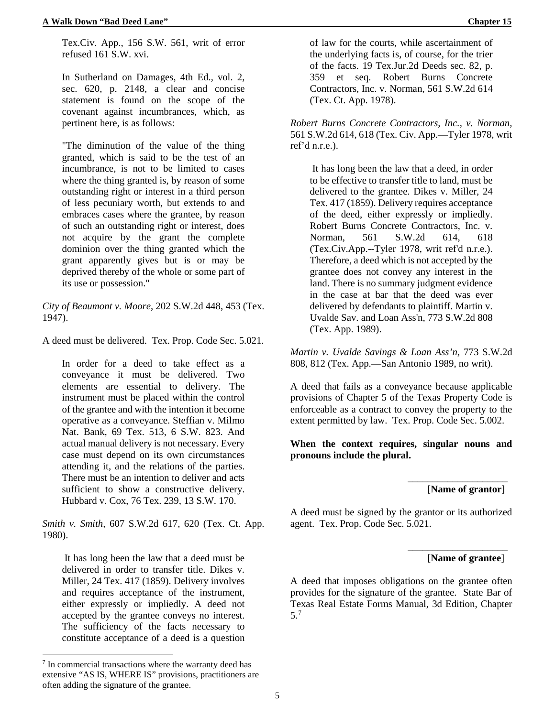Tex.Civ. App., 156 S.W. 561, writ of error refused 161 S.W. xvi.

In Sutherland on Damages, 4th Ed., vol. 2, sec. 620, p. 2148, a clear and concise statement is found on the scope of the covenant against incumbrances, which, as pertinent here, is as follows:

"The diminution of the value of the thing granted, which is said to be the test of an incumbrance, is not to be limited to cases where the thing granted is, by reason of some outstanding right or interest in a third person of less pecuniary worth, but extends to and embraces cases where the grantee, by reason of such an outstanding right or interest, does not acquire by the grant the complete dominion over the thing granted which the grant apparently gives but is or may be deprived thereby of the whole or some part of its use or possession."

*City of Beaumont v. Moore*, 202 S.W.2d 448, 453 (Tex. 1947).

A deed must be delivered. Tex. Prop. Code Sec. 5.021.

In order for a deed to take effect as a conveyance it must be delivered. Two elements are essential to delivery. The instrument must be placed within the control of the grantee and with the intention it become operative as a conveyance. Steffian v. Milmo Nat. Bank, 69 Tex. 513, 6 S.W. 823. And actual manual delivery is not necessary. Every case must depend on its own circumstances attending it, and the relations of the parties. There must be an intention to deliver and acts sufficient to show a constructive delivery. Hubbard v. Cox, 76 Tex. 239, 13 S.W. 170.

*Smith v. Smith,* 607 S.W.2d 617, 620 (Tex. Ct. App. 1980).

It has long been the law that a deed must be delivered in order to transfer title. Dikes v. Miller, 24 Tex. 417 (1859). Delivery involves and requires acceptance of the instrument, either expressly or impliedly. A deed not accepted by the grantee conveys no interest. The sufficiency of the facts necessary to constitute acceptance of a deed is a question

 $\overline{a}$ 

of law for the courts, while ascertainment of the underlying facts is, of course, for the trier of the facts. 19 Tex.Jur.2d Deeds sec. 82, p. 359 et seq. Robert Burns Concrete Contractors, Inc. v. Norman, 561 S.W.2d 614 (Tex. Ct. App. 1978).

*Robert Burns Concrete Contractors, Inc., v. Norman,*  561 S.W.2d 614, 618 (Tex. Civ. App.—Tyler 1978, writ ref'd n.r.e.).

It has long been the law that a deed, in order to be effective to transfer title to land, must be delivered to the grantee. Dikes v. Miller, 24 Tex. 417 (1859). Delivery requires acceptance of the deed, either expressly or impliedly. Robert Burns Concrete Contractors, Inc. v. Norman, 561 S.W.2d 614, 618 (Tex.Civ.App.--Tyler 1978, writ ref'd n.r.e.). Therefore, a deed which is not accepted by the grantee does not convey any interest in the land. There is no summary judgment evidence in the case at bar that the deed was ever delivered by defendants to plaintiff. Martin v. Uvalde Sav. and Loan Ass'n, 773 S.W.2d 808 (Tex. App. 1989).

*Martin v. Uvalde Savings & Loan Ass'n,* 773 S.W.2d 808, 812 (Tex. App.—San Antonio 1989, no writ).

A deed that fails as a conveyance because applicable provisions of Chapter 5 of the Texas Property Code is enforceable as a contract to convey the property to the extent permitted by law. Tex. Prop. Code Sec. 5.002.

**When the context requires, singular nouns and pronouns include the plural.**

[**Name of grantor**]

\_\_\_\_\_\_\_\_\_\_\_\_\_\_\_\_\_\_\_\_

A deed must be signed by the grantor or its authorized agent. Tex. Prop. Code Sec. 5.021.

# [**Name of grantee**]

\_\_\_\_\_\_\_\_\_\_\_\_\_\_\_\_\_\_\_\_

A deed that imposes obligations on the grantee often provides for the signature of the grantee. State Bar of Texas Real Estate Forms Manual, 3d Edition, Chapter 5.[7](#page-10-0)

<span id="page-10-0"></span><sup>7</sup> In commercial transactions where the warranty deed has extensive "AS IS, WHERE IS" provisions, practitioners are often adding the signature of the grantee.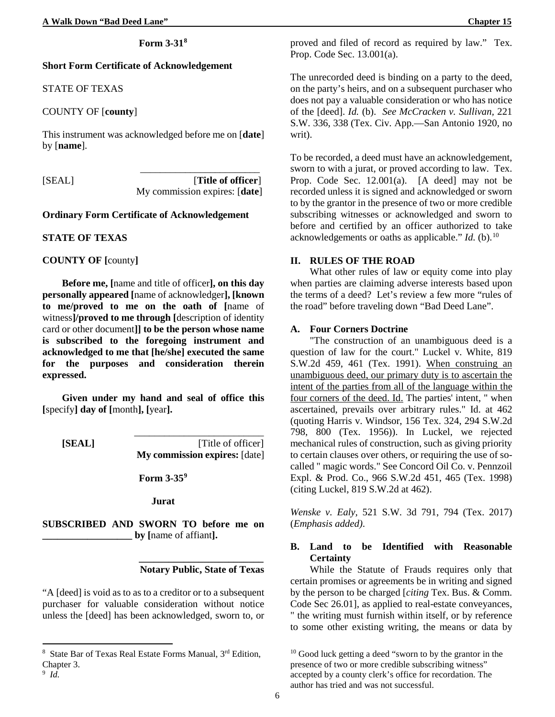### **Form 3-31[8](#page-11-0)**

### **Short Form Certificate of Acknowledgement**

### STATE OF TEXAS

## COUNTY OF [**county**]

This instrument was acknowledged before me on [**date**] by [**name**].

\_\_\_\_\_\_\_\_\_\_\_\_\_\_\_\_\_\_\_\_\_\_\_\_ [SEAL] [**Title of officer**] My commission expires: [**date**]

### **Ordinary Form Certificate of Acknowledgement**

#### **STATE OF TEXAS**

**COUNTY OF [**county**]**

**Before me, [**name and title of officer**], on this day personally appeared [**name of acknowledger**], [known to me/proved to me on the oath of [**name of witness**]/proved to me through [**description of identity card or other document**]] to be the person whose name is subscribed to the foregoing instrument and acknowledged to me that [he/she] executed the same for the purposes and consideration therein expressed.**

**Given under my hand and seal of office this [**specify**] day of [**month**], [**year**].**

 $\frac{1}{\sqrt{2}}$  ,  $\frac{1}{\sqrt{2}}$  ,  $\frac{1}{\sqrt{2}}$  ,  $\frac{1}{\sqrt{2}}$  ,  $\frac{1}{\sqrt{2}}$  ,  $\frac{1}{\sqrt{2}}$  ,  $\frac{1}{\sqrt{2}}$  ,  $\frac{1}{\sqrt{2}}$  ,  $\frac{1}{\sqrt{2}}$  ,  $\frac{1}{\sqrt{2}}$  ,  $\frac{1}{\sqrt{2}}$  ,  $\frac{1}{\sqrt{2}}$  ,  $\frac{1}{\sqrt{2}}$  ,  $\frac{1}{\sqrt{2}}$  ,  $\frac{1}{\sqrt{2}}$ **[SEAL]** [Title of officer] **My commission expires:** [date]

**Form 3-35[9](#page-11-1)**

**Jurat**

 **\_\_\_\_\_\_\_\_\_\_\_\_\_\_\_\_\_\_\_\_\_\_\_\_\_**

**SUBSCRIBED AND SWORN TO before me on \_\_\_\_\_\_\_\_\_\_\_\_\_\_\_\_\_\_ by [**name of affiant**].**

### **Notary Public, State of Texas**

"A [deed] is void as to as to a creditor or to a subsequent purchaser for valuable consideration without notice unless the [deed] has been acknowledged, sworn to, or

**.** 

proved and filed of record as required by law." Tex. Prop. Code Sec. 13.001(a).

The unrecorded deed is binding on a party to the deed, on the party's heirs, and on a subsequent purchaser who does not pay a valuable consideration or who has notice of the [deed]. *Id.* (b). *See McCracken v. Sullivan,* 221 S.W. 336, 338 (Tex. Civ. App.—San Antonio 1920, no writ).

To be recorded, a deed must have an acknowledgement, sworn to with a jurat, or proved according to law. Tex. Prop. Code Sec. 12.001(a). [A deed] may not be recorded unless it is signed and acknowledged or sworn to by the grantor in the presence of two or more credible subscribing witnesses or acknowledged and sworn to before and certified by an officer authorized to take acknowledgements or oaths as applicable." *Id.* (b).[10](#page-11-0)

#### **II. RULES OF THE ROAD**

What other rules of law or equity come into play when parties are claiming adverse interests based upon the terms of a deed? Let's review a few more "rules of the road" before traveling down "Bad Deed Lane".

### **A. Four Corners Doctrine**

"The construction of an unambiguous deed is a question of law for the court." Luckel v. White, 819 S.W.2d 459, 461 (Tex. 1991). When construing an unambiguous deed, our primary duty is to ascertain the intent of the parties from all of the language within the four corners of the deed. Id. The parties' intent, " when ascertained, prevails over arbitrary rules." Id. at 462 (quoting Harris v. Windsor, 156 Tex. 324, 294 S.W.2d 798, 800 (Tex. 1956)). In Luckel, we rejected mechanical rules of construction, such as giving priority to certain clauses over others, or requiring the use of socalled " magic words." See Concord Oil Co. v. Pennzoil Expl. & Prod. Co., 966 S.W.2d 451, 465 (Tex. 1998) (citing Luckel, 819 S.W.2d at 462).

*Wenske v. Ealy,* 521 S.W. 3d 791, 794 (Tex. 2017) (*Emphasis added)*.

# **B. Land to be Identified with Reasonable Certainty**

While the Statute of Frauds requires only that certain promises or agreements be in writing and signed by the person to be charged [*citing* Tex. Bus. & Comm. Code Sec 26.01], as applied to real-estate conveyances, " the writing must furnish within itself, or by reference to some other existing writing, the means or data by

<span id="page-11-1"></span><span id="page-11-0"></span><sup>8</sup> State Bar of Texas Real Estate Forms Manual, 3rd Edition, Chapter 3. <sup>9</sup> *Id.*

<sup>&</sup>lt;sup>10</sup> Good luck getting a deed "sworn to by the grantor in the presence of two or more credible subscribing witness" accepted by a county clerk's office for recordation. The author has tried and was not successful.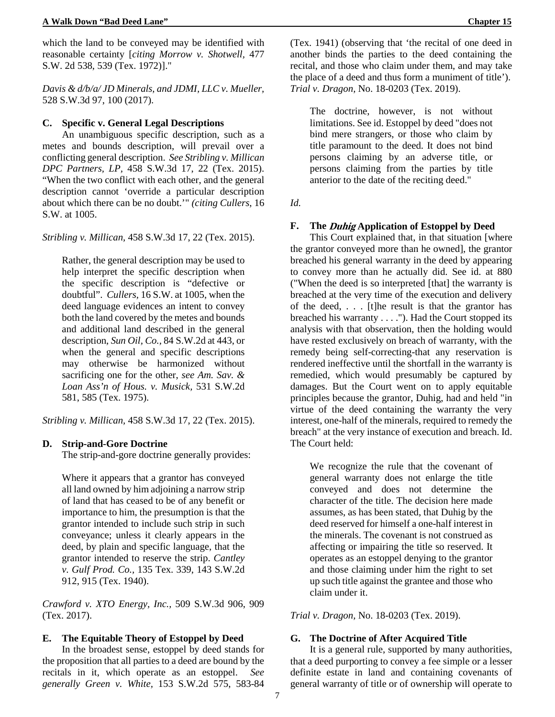which the land to be conveyed may be identified with reasonable certainty [*citing Morrow v. Shotwell,* 477 S.W. 2d 538, 539 (Tex. 1972)]."

*Davis & d/b/a/ JD Minerals, and JDMI, LLC v. Mueller,* 528 S.W.3d 97, 100 (2017).

### **C. Specific v. General Legal Descriptions**

An unambiguous specific description, such as a metes and bounds description, will prevail over a conflicting general description. *See Stribling v. Millican DPC Partners, LP,* 458 S.W.3d 17, 22 (Tex. 2015). "When the two conflict with each other, and the general description cannot 'override a particular description about which there can be no doubt.'" *(citing Cullers*, 16 S.W. at 1005.

*Stribling v. Millican,* 458 S.W.3d 17, 22 (Tex. 2015).

Rather, the general description may be used to help interpret the specific description when the specific description is "defective or doubtful". *Cullers,* 16 S.W. at 1005, when the deed language evidences an intent to convey both the land covered by the metes and bounds and additional land described in the general description, *Sun Oil, Co.,* 84 S.W.2d at 443, or when the general and specific descriptions may otherwise be harmonized without sacrificing one for the other, *see Am. Sav. & Loan Ass'n of Hous. v. Musick,* 531 S.W.2d 581, 585 (Tex. 1975).

*Stribling v. Millican,* 458 S.W.3d 17, 22 (Tex. 2015).

### **D. Strip-and-Gore Doctrine**

The strip-and-gore doctrine generally provides:

Where it appears that a grantor has conveyed all land owned by him adjoining a narrow strip of land that has ceased to be of any benefit or importance to him, the presumption is that the grantor intended to include such strip in such conveyance; unless it clearly appears in the deed, by plain and specific language, that the grantor intended to reserve the strip. *Cantley v. Gulf Prod. Co.,* 135 Tex. 339, 143 S.W.2d 912, 915 (Tex. 1940).

*Crawford v. XTO Energy, Inc.,* 509 S.W.3d 906, 909 (Tex. 2017).

### **E. The Equitable Theory of Estoppel by Deed**

In the broadest sense, estoppel by deed stands for the proposition that all parties to a deed are bound by the recitals in it, which operate as an estoppel. *See generally Green v. White,* 153 S.W.2d 575, 583-84

(Tex. 1941) (observing that 'the recital of one deed in another binds the parties to the deed containing the recital, and those who claim under them, and may take the place of a deed and thus form a muniment of title'). *Trial v. Dragon,* No. 18-0203 (Tex. 2019).

The doctrine, however, is not without limitations. See id. Estoppel by deed "does not bind mere strangers, or those who claim by title paramount to the deed. It does not bind persons claiming by an adverse title, or persons claiming from the parties by title anterior to the date of the reciting deed."

*Id.*

## **F. The Duhig Application of Estoppel by Deed**

This Court explained that, in that situation [where the grantor conveyed more than he owned], the grantor breached his general warranty in the deed by appearing to convey more than he actually did. See id. at 880 ("When the deed is so interpreted [that] the warranty is breached at the very time of the execution and delivery of the deed, . . . [t]he result is that the grantor has breached his warranty . . . ."). Had the Court stopped its analysis with that observation, then the holding would have rested exclusively on breach of warranty, with the remedy being self-correcting-that any reservation is rendered ineffective until the shortfall in the warranty is remedied, which would presumably be captured by damages. But the Court went on to apply equitable principles because the grantor, Duhig, had and held "in virtue of the deed containing the warranty the very interest, one-half of the minerals, required to remedy the breach" at the very instance of execution and breach. Id. The Court held:

We recognize the rule that the covenant of general warranty does not enlarge the title conveyed and does not determine the character of the title. The decision here made assumes, as has been stated, that Duhig by the deed reserved for himself a one-half interest in the minerals. The covenant is not construed as affecting or impairing the title so reserved. It operates as an estoppel denying to the grantor and those claiming under him the right to set up such title against the grantee and those who claim under it.

*Trial v. Dragon,* No. 18-0203 (Tex. 2019).

### **G. The Doctrine of After Acquired Title**

It is a general rule, supported by many authorities, that a deed purporting to convey a fee simple or a lesser definite estate in land and containing covenants of general warranty of title or of ownership will operate to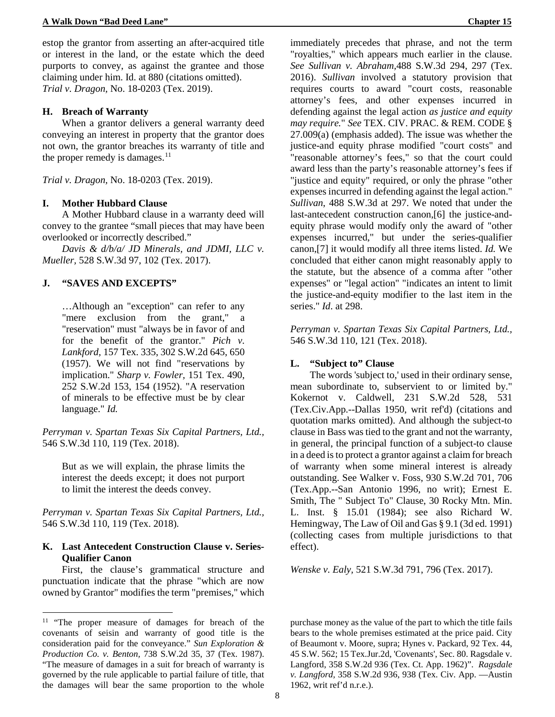estop the grantor from asserting an after-acquired title or interest in the land, or the estate which the deed purports to convey, as against the grantee and those claiming under him. Id. at 880 (citations omitted). *Trial v. Dragon,* No. 18-0203 (Tex. 2019).

### **H. Breach of Warranty**

When a grantor delivers a general warranty deed conveying an interest in property that the grantor does not own, the grantor breaches its warranty of title and the proper remedy is damages. $11$ 

*Trial v. Dragon,* No. 18-0203 (Tex. 2019).

#### **I. Mother Hubbard Clause**

A Mother Hubbard clause in a warranty deed will convey to the grantee "small pieces that may have been overlooked or incorrectly described."

*Davis & d/b/a/ JD Minerals, and JDMI, LLC v. Mueller,* 528 S.W.3d 97, 102 (Tex. 2017).

# **J. "SAVES AND EXCEPTS"**

…Although an "exception" can refer to any "mere exclusion from the grant," "reservation" must "always be in favor of and for the benefit of the grantor." *Pich v. Lankford,* 157 Tex. 335, 302 S.W.2d 645, 650 (1957). We will not find "reservations by implication." *Sharp v. Fowler,* 151 Tex. 490, 252 S.W.2d 153, 154 (1952). "A reservation of minerals to be effective must be by clear language." *Id.*

*Perryman v. Spartan Texas Six Capital Partners, Ltd.,*  546 S.W.3d 110, 119 (Tex. 2018).

But as we will explain, the phrase limits the interest the deeds except; it does not purport to limit the interest the deeds convey.

*Perryman v. Spartan Texas Six Capital Partners, Ltd.,*  546 S.W.3d 110, 119 (Tex. 2018)*.*

# **K. Last Antecedent Construction Clause v. Series-Qualifier Canon**

First, the clause's grammatical structure and punctuation indicate that the phrase "which are now owned by Grantor" modifies the term "premises," which

 $\overline{a}$ 

immediately precedes that phrase, and not the term "royalties," which appears much earlier in the clause. *See Sullivan v. Abraham,*488 S.W.3d 294, 297 (Tex. 2016). *Sullivan* involved a statutory provision that requires courts to award "court costs, reasonable attorney's fees, and other expenses incurred in defending against the legal action *as justice and equity may require.*" *See* TEX. CIV. PRAC. & REM. CODE § 27.009(a) (emphasis added). The issue was whether the justice-and equity phrase modified "court costs" and "reasonable attorney's fees," so that the court could award less than the party's reasonable attorney's fees if "justice and equity" required, or only the phrase "other expenses incurred in defending against the legal action." *Sullivan*, 488 S.W.3d at 297. We noted that under the last-antecedent construction canon,[6] the justice-andequity phrase would modify only the award of "other expenses incurred," but under the series-qualifier canon,[7] it would modify all three items listed. *Id.* We concluded that either canon might reasonably apply to the statute, but the absence of a comma after "other expenses" or "legal action" "indicates an intent to limit the justice-and-equity modifier to the last item in the series." *Id*. at 298.

*Perryman v. Spartan Texas Six Capital Partners, Ltd.,*  546 S.W.3d 110, 121 (Tex. 2018).

### **L. "Subject to" Clause**

The words 'subject to,' used in their ordinary sense, mean subordinate to, subservient to or limited by." Kokernot v. Caldwell, 231 S.W.2d 528, 531 (Tex.Civ.App.--Dallas 1950, writ ref'd) (citations and quotation marks omitted). And although the subject-to clause in Bass was tied to the grant and not the warranty, in general, the principal function of a subject-to clause in a deed is to protect a grantor against a claim for breach of warranty when some mineral interest is already outstanding. See Walker v. Foss, 930 S.W.2d 701, 706 (Tex.App.--San Antonio 1996, no writ); Ernest E. Smith, The " Subject To" Clause, 30 Rocky Mtn. Min. L. Inst. § 15.01 (1984); see also Richard W. Hemingway, The Law of Oil and Gas § 9.1 (3d ed. 1991) (collecting cases from multiple jurisdictions to that effect).

*Wenske v. Ealy,* 521 S.W.3d 791, 796 (Tex. 2017).

purchase money as the value of the part to which the title fails bears to the whole premises estimated at the price paid. City of Beaumont v. Moore, supra; Hynes v. Packard, 92 Tex. 44, 45 S.W. 562; 15 Tex.Jur.2d, 'Covenants', Sec. 80. Ragsdale v. Langford, 358 S.W.2d 936 (Tex. Ct. App. 1962)". *Ragsdale v. Langford,* 358 S.W.2d 936, 938 (Tex. Civ. App. —Austin 1962, writ ref'd n.r.e.).

<span id="page-13-0"></span><sup>&</sup>lt;sup>11</sup> "The proper measure of damages for breach of the covenants of seisin and warranty of good title is the consideration paid for the conveyance." *Sun Exploration & Production Co. v. Benton,* 738 S.W.2d 35, 37 (Tex. 1987). "The measure of damages in a suit for breach of warranty is governed by the rule applicable to partial failure of title, that the damages will bear the same proportion to the whole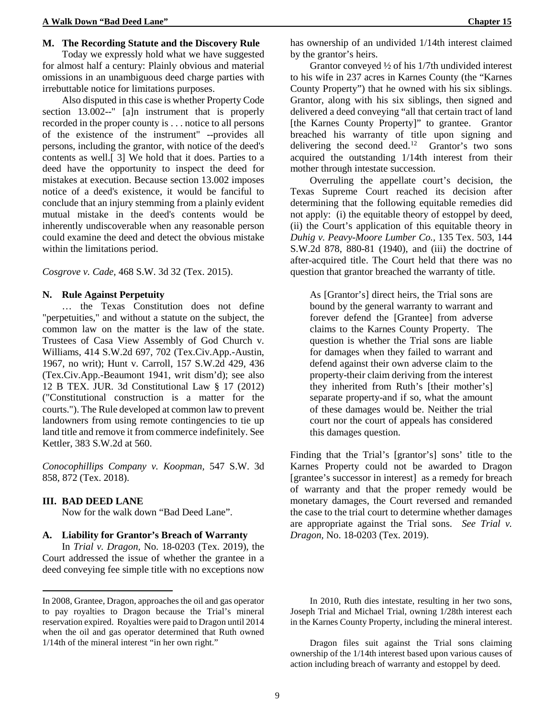#### **M. The Recording Statute and the Discovery Rule**

Today we expressly hold what we have suggested for almost half a century: Plainly obvious and material omissions in an unambiguous deed charge parties with irrebuttable notice for limitations purposes.

Also disputed in this case is whether Property Code section 13.002--" [a]n instrument that is properly recorded in the proper county is . . . notice to all persons of the existence of the instrument" --provides all persons, including the grantor, with notice of the deed's contents as well.[ 3] We hold that it does. Parties to a deed have the opportunity to inspect the deed for mistakes at execution. Because section 13.002 imposes notice of a deed's existence, it would be fanciful to conclude that an injury stemming from a plainly evident mutual mistake in the deed's contents would be inherently undiscoverable when any reasonable person could examine the deed and detect the obvious mistake within the limitations period.

*Cosgrove v. Cade,* 468 S.W. 3d 32 (Tex. 2015).

## **N. Rule Against Perpetuity**

… the Texas Constitution does not define "perpetuities," and without a statute on the subject, the common law on the matter is the law of the state. Trustees of Casa View Assembly of God Church v. Williams, 414 S.W.2d 697, 702 (Tex.Civ.App.-Austin, 1967, no writ); Hunt v. Carroll, 157 S.W.2d 429, 436 (Tex.Civ.App.-Beaumont 1941, writ dism'd); see also 12 B TEX. JUR. 3d Constitutional Law § 17 (2012) ("Constitutional construction is a matter for the courts."). The Rule developed at common law to prevent landowners from using remote contingencies to tie up land title and remove it from commerce indefinitely. See Kettler, 383 S.W.2d at 560.

*Conocophillips Company v. Koopman,* 547 S.W. 3d 858, 872 (Tex. 2018).

#### **III. BAD DEED LANE**

 $\overline{a}$ 

Now for the walk down "Bad Deed Lane".

#### **A. Liability for Grantor's Breach of Warranty**

In *Trial v. Dragon,* No. 18-0203 (Tex. 2019), the Court addressed the issue of whether the grantee in a deed conveying fee simple title with no exceptions now

has ownership of an undivided 1/14th interest claimed by the grantor's heirs.

Grantor conveyed ½ of his 1/7th undivided interest to his wife in 237 acres in Karnes County (the "Karnes County Property") that he owned with his six siblings. Grantor, along with his six siblings, then signed and delivered a deed conveying "all that certain tract of land [the Karnes County Property]" to grantee. Grantor breached his warranty of title upon signing and delivering the second deed.<sup>[12](#page-14-0)</sup> Grantor's two sons acquired the outstanding 1/14th interest from their mother through intestate succession.

Overruling the appellate court's decision, the Texas Supreme Court reached its decision after determining that the following equitable remedies did not apply: (i) the equitable theory of estoppel by deed, (ii) the Court's application of this equitable theory in *Duhig v. Peavy-Moore Lumber Co.,* 135 Tex. 503, 144 S.W.2d 878, 880-81 (1940), and (iii) the doctrine of after-acquired title. The Court held that there was no question that grantor breached the warranty of title.

As [Grantor's] direct heirs, the Trial sons are bound by the general warranty to warrant and forever defend the [Grantee] from adverse claims to the Karnes County Property. The question is whether the Trial sons are liable for damages when they failed to warrant and defend against their own adverse claim to the property-their claim deriving from the interest they inherited from Ruth's [their mother's] separate property-and if so, what the amount of these damages would be. Neither the trial court nor the court of appeals has considered this damages question.

Finding that the Trial's [grantor's] sons' title to the Karnes Property could not be awarded to Dragon [grantee's successor in interest] as a remedy for breach of warranty and that the proper remedy would be monetary damages, the Court reversed and remanded the case to the trial court to determine whether damages are appropriate against the Trial sons. *See Trial v. Dragon,* No. 18-0203 (Tex. 2019).

<span id="page-14-0"></span>In 2008, Grantee, Dragon, approaches the oil and gas operator to pay royalties to Dragon because the Trial's mineral reservation expired. Royalties were paid to Dragon until 2014 when the oil and gas operator determined that Ruth owned 1/14th of the mineral interest "in her own right."

In 2010, Ruth dies intestate, resulting in her two sons, Joseph Trial and Michael Trial, owning 1/28th interest each in the Karnes County Property, including the mineral interest.

Dragon files suit against the Trial sons claiming ownership of the 1/14th interest based upon various causes of action including breach of warranty and estoppel by deed.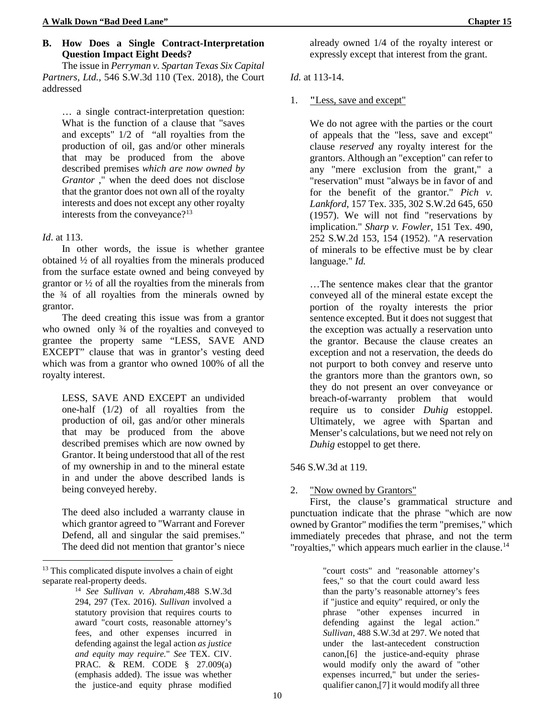## **B. How Does a Single Contract-Interpretation Question Impact Eight Deeds?**

The issue in *Perryman v. Spartan Texas Six Capital Partners, Ltd.,* 546 S.W.3d 110 (Tex. 2018), the Court addressed

… a single contract-interpretation question: What is the function of a clause that "saves and excepts" 1/2 of "all royalties from the production of oil, gas and/or other minerals that may be produced from the above described premises *which are now owned by Grantor* ," when the deed does not disclose that the grantor does not own all of the royalty interests and does not except any other royalty interests from the conveyance?<sup>13</sup>

## *Id*. at 113.

 $\overline{a}$ 

In other words, the issue is whether grantee obtained ½ of all royalties from the minerals produced from the surface estate owned and being conveyed by grantor or ½ of all the royalties from the minerals from the  $\frac{3}{4}$  of all royalties from the minerals owned by grantor.

The deed creating this issue was from a grantor who owned only 34 of the royalties and conveyed to grantee the property same "LESS, SAVE AND EXCEPT" clause that was in grantor's vesting deed which was from a grantor who owned 100% of all the royalty interest.

LESS, SAVE AND EXCEPT an undivided one-half (1/2) of all royalties from the production of oil, gas and/or other minerals that may be produced from the above described premises which are now owned by Grantor. It being understood that all of the rest of my ownership in and to the mineral estate in and under the above described lands is being conveyed hereby.

The deed also included a warranty clause in which grantor agreed to "Warrant and Forever Defend, all and singular the said premises." The deed did not mention that grantor's niece

already owned 1/4 of the royalty interest or expressly except that interest from the grant.

# *Id.* at 113-14.

## 1. **"**Less, save and except"

We do not agree with the parties or the court of appeals that the "less, save and except" clause *reserved* any royalty interest for the grantors. Although an "exception" can refer to any "mere exclusion from the grant," a "reservation" must "always be in favor of and for the benefit of the grantor." *Pich v. Lankford,* 157 Tex. 335, 302 S.W.2d 645, 650 (1957). We will not find "reservations by implication." *Sharp v. Fowler,* 151 Tex. 490, 252 S.W.2d 153, 154 (1952). "A reservation of minerals to be effective must be by clear language." *Id.*

…The sentence makes clear that the grantor conveyed all of the mineral estate except the portion of the royalty interests the prior sentence excepted. But it does not suggest that the exception was actually a reservation unto the grantor. Because the clause creates an exception and not a reservation, the deeds do not purport to both convey and reserve unto the grantors more than the grantors own, so they do not present an over conveyance or breach-of-warranty problem that would require us to consider *Duhig* estoppel. Ultimately, we agree with Spartan and Menser's calculations, but we need not rely on *Duhig* estoppel to get there.

### 546 S.W.3d at 119.

# 2. "Now owned by Grantors"

First, the clause's grammatical structure and punctuation indicate that the phrase "which are now owned by Grantor" modifies the term "premises," which immediately precedes that phrase, and not the term "royalties," which appears much earlier in the clause.<sup>[14](#page-15-1)</sup>

> "court costs" and "reasonable attorney's fees," so that the court could award less than the party's reasonable attorney's fees if "justice and equity" required, or only the phrase "other expenses incurred in defending against the legal action." *Sullivan*, 488 S.W.3d at 297. We noted that under the last-antecedent construction canon,[6] the justice-and-equity phrase would modify only the award of "other expenses incurred," but under the seriesqualifier canon,[7] it would modify all three

<span id="page-15-1"></span><span id="page-15-0"></span><sup>&</sup>lt;sup>13</sup> This complicated dispute involves a chain of eight separate real-property deeds.

<sup>14</sup> *See Sullivan v. Abraham,*488 S.W.3d 294, 297 (Tex. 2016). *Sullivan* involved a statutory provision that requires courts to award "court costs, reasonable attorney's fees, and other expenses incurred in defending against the legal action *as justice and equity may require.*" *See* TEX. CIV. PRAC. & REM. CODE § 27.009(a) (emphasis added). The issue was whether the justice-and equity phrase modified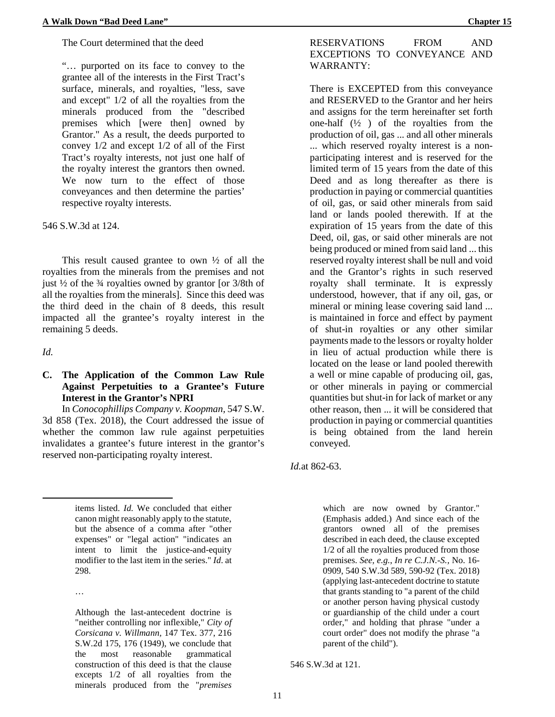"… purported on its face to convey to the grantee all of the interests in the First Tract's surface, minerals, and royalties, "less, save and except" 1/2 of all the royalties from the minerals produced from the "described premises which [were then] owned by Grantor." As a result, the deeds purported to convey 1/2 and except 1/2 of all of the First Tract's royalty interests, not just one half of the royalty interest the grantors then owned. We now turn to the effect of those conveyances and then determine the parties' respective royalty interests.

546 S.W.3d at 124.

This result caused grantee to own ½ of all the royalties from the minerals from the premises and not just  $\frac{1}{2}$  of the  $\frac{3}{4}$  royalties owned by grantor [or 3/8th of all the royalties from the minerals]. Since this deed was the third deed in the chain of 8 deeds, this result impacted all the grantee's royalty interest in the remaining 5 deeds.

*Id.*

 $\overline{a}$ 

# **C. The Application of the Common Law Rule Against Perpetuities to a Grantee's Future Interest in the Grantor's NPRI**

In *Conocophillips Company v. Koopman,* 547 S.W. 3d 858 (Tex. 2018), the Court addressed the issue of whether the common law rule against perpetuities invalidates a grantee's future interest in the grantor's reserved non-participating royalty interest.

> items listed. *Id.* We concluded that either canon might reasonably apply to the statute, but the absence of a comma after "other expenses" or "legal action" "indicates an intent to limit the justice-and-equity modifier to the last item in the series." *Id*. at 298.

…

Although the last-antecedent doctrine is "neither controlling nor inflexible," *City of Corsicana v. Willmann,* 147 Tex. 377, 216 S.W.2d 175, 176 (1949), we conclude that the most reasonable grammatical construction of this deed is that the clause excepts 1/2 of all royalties from the minerals produced from the "*premises* 

# RESERVATIONS FROM AND EXCEPTIONS TO CONVEYANCE AND WARRANTY:

There is EXCEPTED from this conveyance and RESERVED to the Grantor and her heirs and assigns for the term hereinafter set forth one-half  $(\frac{1}{2})$  of the royalties from the production of oil, gas ... and all other minerals ... which reserved royalty interest is a nonparticipating interest and is reserved for the limited term of 15 years from the date of this Deed and as long thereafter as there is production in paying or commercial quantities of oil, gas, or said other minerals from said land or lands pooled therewith. If at the expiration of 15 years from the date of this Deed, oil, gas, or said other minerals are not being produced or mined from said land ... this reserved royalty interest shall be null and void and the Grantor's rights in such reserved royalty shall terminate. It is expressly understood, however, that if any oil, gas, or mineral or mining lease covering said land ... is maintained in force and effect by payment of shut-in royalties or any other similar payments made to the lessors or royalty holder in lieu of actual production while there is located on the lease or land pooled therewith a well or mine capable of producing oil, gas, or other minerals in paying or commercial quantities but shut-in for lack of market or any other reason, then ... it will be considered that production in paying or commercial quantities is being obtained from the land herein conveyed.

*Id.*at 862-63.

which are now owned by Grantor." (Emphasis added.) And since each of the grantors owned all of the premises described in each deed, the clause excepted 1/2 of all the royalties produced from those premises. *See, e.g.*, *In re C.J.N.-S.,* No. 16- 0909, 540 S.W.3d 589, 590-92 (Tex. 2018) (applying last-antecedent doctrine to statute that grants standing to "a parent of the child or another person having physical custody or guardianship of the child under a court order," and holding that phrase "under a court order" does not modify the phrase "a parent of the child").

546 S.W.3d at 121.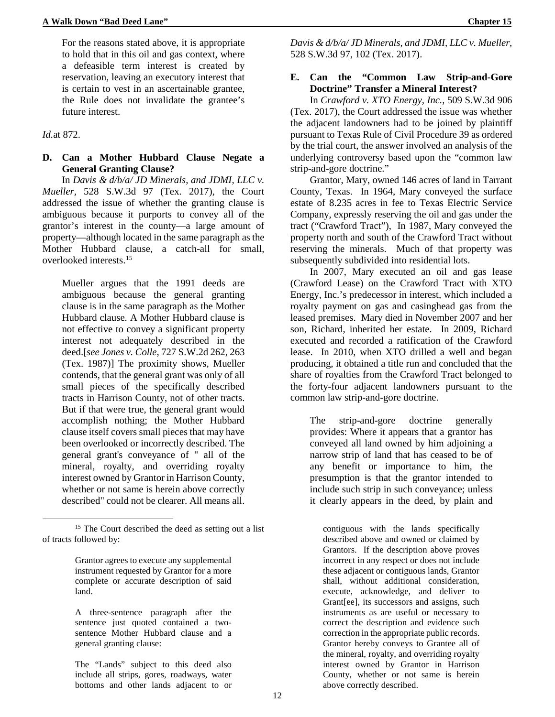For the reasons stated above, it is appropriate to hold that in this oil and gas context, where a defeasible term interest is created by reservation, leaving an executory interest that is certain to vest in an ascertainable grantee, the Rule does not invalidate the grantee's future interest.

*Id.*at 872.

**.** 

# **D. Can a Mother Hubbard Clause Negate a General Granting Clause?**

In *Davis & d/b/a/ JD Minerals, and JDMI, LLC v. Mueller,* 528 S.W.3d 97 (Tex. 2017), the Court addressed the issue of whether the granting clause is ambiguous because it purports to convey all of the grantor's interest in the county—a large amount of property—although located in the same paragraph as the Mother Hubbard clause, a catch-all for small, overlooked interests.[15](#page-17-0)

Mueller argues that the 1991 deeds are ambiguous because the general granting clause is in the same paragraph as the Mother Hubbard clause. A Mother Hubbard clause is not effective to convey a significant property interest not adequately described in the deed.[*see Jones v. Colle,* 727 S.W.2d 262, 263 (Tex. 1987)] The proximity shows, Mueller contends, that the general grant was only of all small pieces of the specifically described tracts in Harrison County, not of other tracts. But if that were true, the general grant would accomplish nothing; the Mother Hubbard clause itself covers small pieces that may have been overlooked or incorrectly described. The general grant's conveyance of " all of the mineral, royalty, and overriding royalty interest owned by Grantor in Harrison County, whether or not same is herein above correctly described" could not be clearer. All means all.

*Davis & d/b/a/ JD Minerals, and JDMI, LLC v. Mueller,*  528 S.W.3d 97, 102 (Tex. 2017).

# **E. Can the "Common Law Strip-and-Gore Doctrine" Transfer a Mineral Interest?**

In *Crawford v. XTO Energy, Inc.*, 509 S.W.3d 906 (Tex. 2017), the Court addressed the issue was whether the adjacent landowners had to be joined by plaintiff pursuant to Texas Rule of Civil Procedure 39 as ordered by the trial court, the answer involved an analysis of the underlying controversy based upon the "common law strip-and-gore doctrine."

Grantor, Mary, owned 146 acres of land in Tarrant County, Texas. In 1964, Mary conveyed the surface estate of 8.235 acres in fee to Texas Electric Service Company, expressly reserving the oil and gas under the tract ("Crawford Tract"), In 1987, Mary conveyed the property north and south of the Crawford Tract without reserving the minerals. Much of that property was subsequently subdivided into residential lots.

In 2007, Mary executed an oil and gas lease (Crawford Lease) on the Crawford Tract with XTO Energy, Inc.'s predecessor in interest, which included a royalty payment on gas and casinghead gas from the leased premises. Mary died in November 2007 and her son, Richard, inherited her estate. In 2009, Richard executed and recorded a ratification of the Crawford lease. In 2010, when XTO drilled a well and began producing, it obtained a title run and concluded that the share of royalties from the Crawford Tract belonged to the forty-four adjacent landowners pursuant to the common law strip-and-gore doctrine.

The strip-and-gore doctrine generally provides: Where it appears that a grantor has conveyed all land owned by him adjoining a narrow strip of land that has ceased to be of any benefit or importance to him, the presumption is that the grantor intended to include such strip in such conveyance; unless it clearly appears in the deed, by plain and

contiguous with the lands specifically described above and owned or claimed by Grantors. If the description above proves incorrect in any respect or does not include these adjacent or contiguous lands, Grantor shall, without additional consideration, execute, acknowledge, and deliver to Grant[ee], its successors and assigns, such instruments as are useful or necessary to correct the description and evidence such correction in the appropriate public records. Grantor hereby conveys to Grantee all of the mineral, royalty, and overriding royalty interest owned by Grantor in Harrison County, whether or not same is herein above correctly described.

<span id="page-17-0"></span><sup>&</sup>lt;sup>15</sup> The Court described the deed as setting out a list of tracts followed by:

Grantor agrees to execute any supplemental instrument requested by Grantor for a more complete or accurate description of said land.

A three-sentence paragraph after the sentence just quoted contained a twosentence Mother Hubbard clause and a general granting clause:

The "Lands" subject to this deed also include all strips, gores, roadways, water bottoms and other lands adjacent to or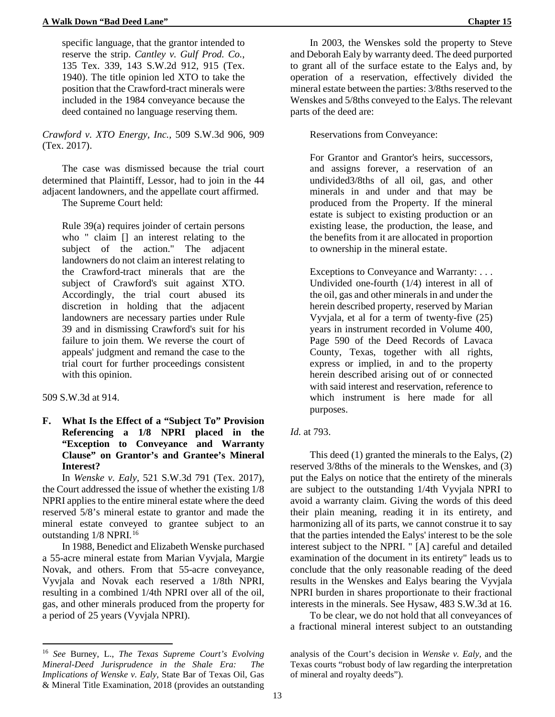specific language, that the grantor intended to reserve the strip. *Cantley v. Gulf Prod. Co.*, 135 Tex. 339, 143 S.W.2d 912, 915 (Tex. 1940). The title opinion led XTO to take the position that the Crawford-tract minerals were included in the 1984 conveyance because the deed contained no language reserving them.

*Crawford v. XTO Energy, Inc.,* 509 S.W.3d 906, 909 (Tex. 2017).

The case was dismissed because the trial court determined that Plaintiff, Lessor, had to join in the 44 adjacent landowners, and the appellate court affirmed.

The Supreme Court held:

Rule 39(a) requires joinder of certain persons who " claim [] an interest relating to the subject of the action." The adjacent landowners do not claim an interest relating to the Crawford-tract minerals that are the subject of Crawford's suit against XTO. Accordingly, the trial court abused its discretion in holding that the adjacent landowners are necessary parties under Rule 39 and in dismissing Crawford's suit for his failure to join them. We reverse the court of appeals' judgment and remand the case to the trial court for further proceedings consistent with this opinion.

509 S.W.3d at 914.

**.** 

# **F. What Is the Effect of a "Subject To" Provision Referencing a 1/8 NPRI placed in the "Exception to Conveyance and Warranty Clause" on Grantor's and Grantee's Mineral Interest?**

In *Wenske v. Ealy,* 521 S.W.3d 791 (Tex. 2017), the Court addressed the issue of whether the existing 1/8 NPRI applies to the entire mineral estate where the deed reserved 5/8's mineral estate to grantor and made the mineral estate conveyed to grantee subject to an outstanding 1/8 NPRI.<sup>[16](#page-18-0)</sup>

In 1988, Benedict and Elizabeth Wenske purchased a 55-acre mineral estate from Marian Vyvjala, Margie Novak, and others. From that 55-acre conveyance, Vyvjala and Novak each reserved a 1/8th NPRI, resulting in a combined 1/4th NPRI over all of the oil, gas, and other minerals produced from the property for a period of 25 years (Vyvjala NPRI).

In 2003, the Wenskes sold the property to Steve and Deborah Ealy by warranty deed. The deed purported to grant all of the surface estate to the Ealys and, by operation of a reservation, effectively divided the mineral estate between the parties: 3/8ths reserved to the Wenskes and 5/8ths conveyed to the Ealys. The relevant parts of the deed are:

Reservations from Conveyance:

For Grantor and Grantor's heirs, successors, and assigns forever, a reservation of an undivided3/8ths of all oil, gas, and other minerals in and under and that may be produced from the Property. If the mineral estate is subject to existing production or an existing lease, the production, the lease, and the benefits from it are allocated in proportion to ownership in the mineral estate.

Exceptions to Conveyance and Warranty: . . . Undivided one-fourth (1/4) interest in all of the oil, gas and other minerals in and under the herein described property, reserved by Marian Vyvjala, et al for a term of twenty-five (25) years in instrument recorded in Volume 400, Page 590 of the Deed Records of Lavaca County, Texas, together with all rights, express or implied, in and to the property herein described arising out of or connected with said interest and reservation, reference to which instrument is here made for all purposes.

# *Id.* at 793.

This deed (1) granted the minerals to the Ealys, (2) reserved 3/8ths of the minerals to the Wenskes, and (3) put the Ealys on notice that the entirety of the minerals are subject to the outstanding 1/4th Vyvjala NPRI to avoid a warranty claim. Giving the words of this deed their plain meaning, reading it in its entirety, and harmonizing all of its parts, we cannot construe it to say that the parties intended the Ealys' interest to be the sole interest subject to the NPRI. " [A] careful and detailed examination of the document in its entirety" leads us to conclude that the only reasonable reading of the deed results in the Wenskes and Ealys bearing the Vyvjala NPRI burden in shares proportionate to their fractional interests in the minerals. See Hysaw, 483 S.W.3d at 16.

To be clear, we do not hold that all conveyances of a fractional mineral interest subject to an outstanding

<span id="page-18-0"></span><sup>16</sup> *See* Burney, L., *The Texas Supreme Court's Evolving Mineral-Deed Jurisprudence in the Shale Era: The Implications of Wenske v. Ealy,* State Bar of Texas Oil, Gas & Mineral Title Examination, 2018 (provides an outstanding

analysis of the Court's decision in *Wenske v. Ealy,* and the Texas courts "robust body of law regarding the interpretation of mineral and royalty deeds").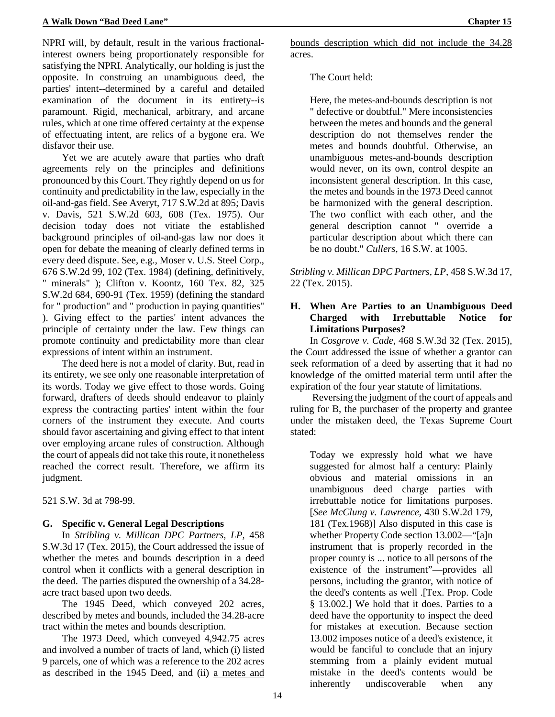NPRI will, by default, result in the various fractionalinterest owners being proportionately responsible for satisfying the NPRI. Analytically, our holding is just the opposite. In construing an unambiguous deed, the parties' intent--determined by a careful and detailed examination of the document in its entirety--is paramount. Rigid, mechanical, arbitrary, and arcane rules, which at one time offered certainty at the expense of effectuating intent, are relics of a bygone era. We disfavor their use.

Yet we are acutely aware that parties who draft agreements rely on the principles and definitions pronounced by this Court. They rightly depend on us for continuity and predictability in the law, especially in the oil-and-gas field. See Averyt, 717 S.W.2d at 895; Davis v. Davis, 521 S.W.2d 603, 608 (Tex. 1975). Our decision today does not vitiate the established background principles of oil-and-gas law nor does it open for debate the meaning of clearly defined terms in every deed dispute. See, e.g., Moser v. U.S. Steel Corp., 676 S.W.2d 99, 102 (Tex. 1984) (defining, definitively, " minerals" ); Clifton v. Koontz, 160 Tex. 82, 325 S.W.2d 684, 690-91 (Tex. 1959) (defining the standard for " production" and " production in paying quantities" ). Giving effect to the parties' intent advances the principle of certainty under the law. Few things can promote continuity and predictability more than clear expressions of intent within an instrument.

The deed here is not a model of clarity. But, read in its entirety, we see only one reasonable interpretation of its words. Today we give effect to those words. Going forward, drafters of deeds should endeavor to plainly express the contracting parties' intent within the four corners of the instrument they execute. And courts should favor ascertaining and giving effect to that intent over employing arcane rules of construction. Although the court of appeals did not take this route, it nonetheless reached the correct result. Therefore, we affirm its judgment.

521 S.W. 3d at 798-99.

# **G. Specific v. General Legal Descriptions**

In *Stribling v. Millican DPC Partners, LP,* 458 S.W.3d 17 (Tex. 2015), the Court addressed the issue of whether the metes and bounds description in a deed control when it conflicts with a general description in the deed. The parties disputed the ownership of a 34.28 acre tract based upon two deeds.

The 1945 Deed, which conveyed 202 acres, described by metes and bounds, included the 34.28-acre tract within the metes and bounds description.

The 1973 Deed, which conveyed 4,942.75 acres and involved a number of tracts of land, which (i) listed 9 parcels, one of which was a reference to the 202 acres as described in the 1945 Deed, and (ii) a metes and bounds description which did not include the 34.28 acres.

# The Court held:

Here, the metes-and-bounds description is not " defective or doubtful." Mere inconsistencies between the metes and bounds and the general description do not themselves render the metes and bounds doubtful. Otherwise, an unambiguous metes-and-bounds description would never, on its own, control despite an inconsistent general description. In this case, the metes and bounds in the 1973 Deed cannot be harmonized with the general description. The two conflict with each other, and the general description cannot " override a particular description about which there can be no doubt." *Cullers*, 16 S.W. at 1005.

*Stribling v. Millican DPC Partners, LP,* 458 S.W.3d 17, 22 (Tex. 2015).

# **H. When Are Parties to an Unambiguous Deed Charged with Irrebuttable Notice for Limitations Purposes?**

In *Cosgrove v. Cade,* 468 S.W.3d 32 (Tex. 2015), the Court addressed the issue of whether a grantor can seek reformation of a deed by asserting that it had no knowledge of the omitted material term until after the expiration of the four year statute of limitations.

Reversing the judgment of the court of appeals and ruling for B, the purchaser of the property and grantee under the mistaken deed, the Texas Supreme Court stated:

Today we expressly hold what we have suggested for almost half a century: Plainly obvious and material omissions in an unambiguous deed charge parties with irrebuttable notice for limitations purposes. [*See McClung v. Lawrence,* 430 S.W.2d 179, 181 (Tex.1968)] Also disputed in this case is whether Property Code section 13.002—"[a]n instrument that is properly recorded in the proper county is ... notice to all persons of the existence of the instrument"—provides all persons, including the grantor, with notice of the deed's contents as well .[Tex. Prop. Code § 13.002.] We hold that it does. Parties to a deed have the opportunity to inspect the deed for mistakes at execution. Because section 13.002 imposes notice of a deed's existence, it would be fanciful to conclude that an injury stemming from a plainly evident mutual mistake in the deed's contents would be inherently undiscoverable when any